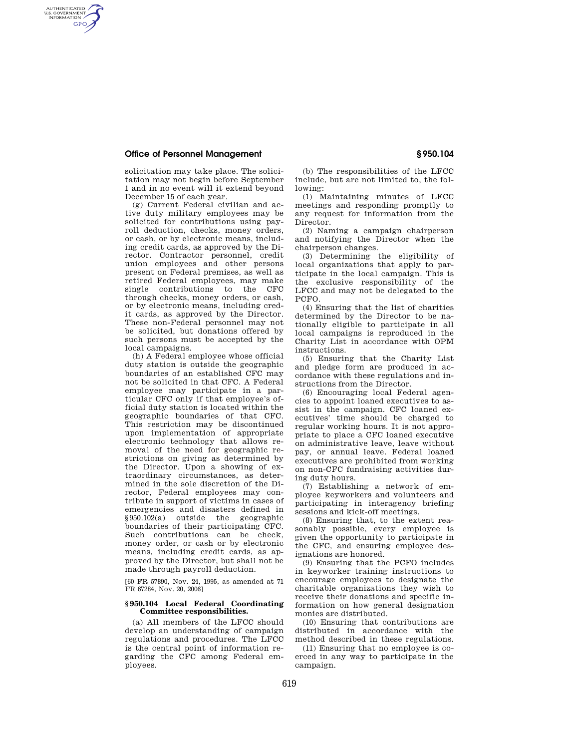## **Office of Personnel Management § 950.104**

AUTHENTICATED<br>U.S. GOVERNMENT<br>INFORMATION **GPO** 

> solicitation may take place. The solicitation may not begin before September 1 and in no event will it extend beyond December 15 of each year.

> (g) Current Federal civilian and active duty military employees may be solicited for contributions using payroll deduction, checks, money orders, or cash, or by electronic means, including credit cards, as approved by the Director. Contractor personnel, credit union employees and other persons present on Federal premises, as well as retired Federal employees, may make single contributions to the CFC through checks, money orders, or cash, or by electronic means, including credit cards, as approved by the Director. These non-Federal personnel may not be solicited, but donations offered by such persons must be accepted by the local campaigns.

> (h) A Federal employee whose official duty station is outside the geographic boundaries of an established CFC may not be solicited in that CFC. A Federal employee may participate in a particular CFC only if that employee's official duty station is located within the geographic boundaries of that CFC. This restriction may be discontinued upon implementation of appropriate electronic technology that allows removal of the need for geographic restrictions on giving as determined by the Director. Upon a showing of extraordinary circumstances, as determined in the sole discretion of the Director, Federal employees may contribute in support of victims in cases of emergencies and disasters defined in §950.102(a) outside the geographic boundaries of their participating CFC. Such contributions can be check, money order, or cash or by electronic means, including credit cards, as approved by the Director, but shall not be made through payroll deduction.

[60 FR 57890, Nov. 24, 1995, as amended at 71 FR 67284, Nov. 20, 2006]

## **§ 950.104 Local Federal Coordinating Committee responsibilities.**

(a) All members of the LFCC should develop an understanding of campaign regulations and procedures. The LFCC is the central point of information regarding the CFC among Federal employees.

(b) The responsibilities of the LFCC include, but are not limited to, the following:

(1) Maintaining minutes of LFCC meetings and responding promptly to any request for information from the Director.

(2) Naming a campaign chairperson and notifying the Director when the chairperson changes.

(3) Determining the eligibility of local organizations that apply to participate in the local campaign. This is the exclusive responsibility of the LFCC and may not be delegated to the PCFO.

(4) Ensuring that the list of charities determined by the Director to be nationally eligible to participate in all local campaigns is reproduced in the Charity List in accordance with OPM instructions.

(5) Ensuring that the Charity List and pledge form are produced in accordance with these regulations and instructions from the Director.

(6) Encouraging local Federal agencies to appoint loaned executives to assist in the campaign. CFC loaned executives' time should be charged to regular working hours. It is not appropriate to place a CFC loaned executive on administrative leave, leave without pay, or annual leave. Federal loaned executives are prohibited from working on non-CFC fundraising activities during duty hours.

(7) Establishing a network of employee keyworkers and volunteers and participating in interagency briefing sessions and kick-off meetings.

(8) Ensuring that, to the extent reasonably possible, every employee is given the opportunity to participate in the CFC, and ensuring employee designations are honored.

(9) Ensuring that the PCFO includes in keyworker training instructions to encourage employees to designate the charitable organizations they wish to receive their donations and specific information on how general designation monies are distributed.

(10) Ensuring that contributions are distributed in accordance with the method described in these regulations.

(11) Ensuring that no employee is coerced in any way to participate in the campaign.